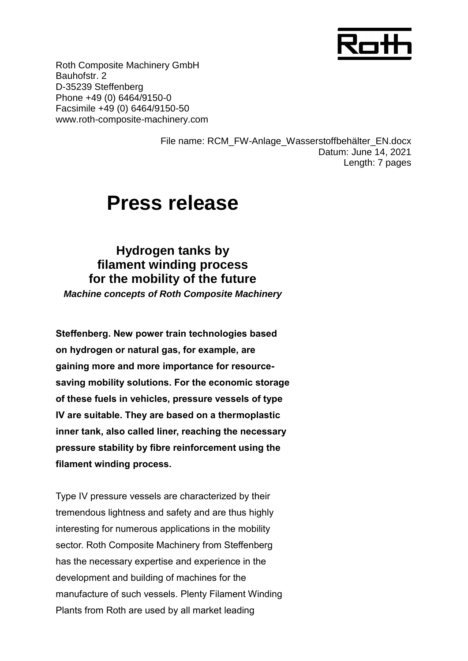

Roth Composite Machinery GmbH Bauhofstr. 2 D-35239 Steffenberg Phone +49 (0) 6464/9150-0 Facsimile +49 (0) 6464/9150-50 www.roth-composite-machinery.com

> File name: RCM\_FW-Anlage\_Wasserstoffbehälter\_EN.docx Datum: June 14, 2021 Length: 7 pages

# **Press release**

**Hydrogen tanks by filament winding process for the mobility of the future** *Machine concepts of Roth Composite Machinery*

**Steffenberg. New power train technologies based on hydrogen or natural gas, for example, are gaining more and more importance for resourcesaving mobility solutions. For the economic storage of these fuels in vehicles, pressure vessels of type IV are suitable. They are based on a thermoplastic inner tank, also called liner, reaching the necessary pressure stability by fibre reinforcement using the filament winding process.**

Type IV pressure vessels are characterized by their tremendous lightness and safety and are thus highly interesting for numerous applications in the mobility sector. Roth Composite Machinery from Steffenberg has the necessary expertise and experience in the development and building of machines for the manufacture of such vessels. Plenty Filament Winding Plants from Roth are used by all market leading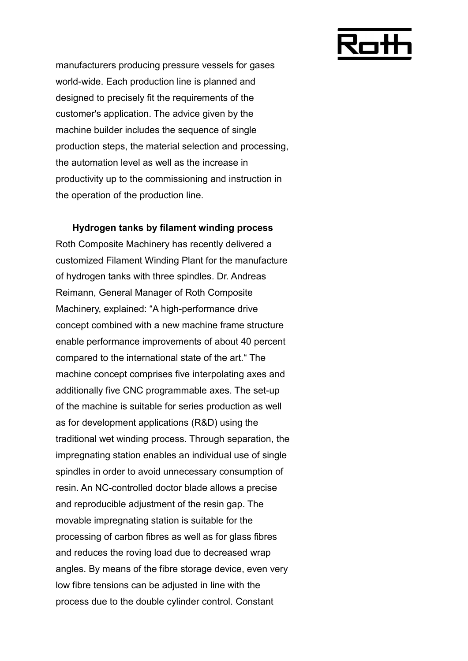

manufacturers producing pressure vessels for gases world-wide. Each production line is planned and designed to precisely fit the requirements of the customer's application. The advice given by the machine builder includes the sequence of single production steps, the material selection and processing, the automation level as well as the increase in productivity up to the commissioning and instruction in the operation of the production line.

**Hydrogen tanks by filament winding process** Roth Composite Machinery has recently delivered a customized Filament Winding Plant for the manufacture of hydrogen tanks with three spindles. Dr. Andreas Reimann, General Manager of Roth Composite Machinery, explained: "A high-performance drive concept combined with a new machine frame structure enable performance improvements of about 40 percent compared to the international state of the art." The machine concept comprises five interpolating axes and additionally five CNC programmable axes. The set-up of the machine is suitable for series production as well as for development applications (R&D) using the traditional wet winding process. Through separation, the impregnating station enables an individual use of single spindles in order to avoid unnecessary consumption of resin. An NC-controlled doctor blade allows a precise and reproducible adjustment of the resin gap. The movable impregnating station is suitable for the processing of carbon fibres as well as for glass fibres and reduces the roving load due to decreased wrap angles. By means of the fibre storage device, even very low fibre tensions can be adjusted in line with the process due to the double cylinder control. Constant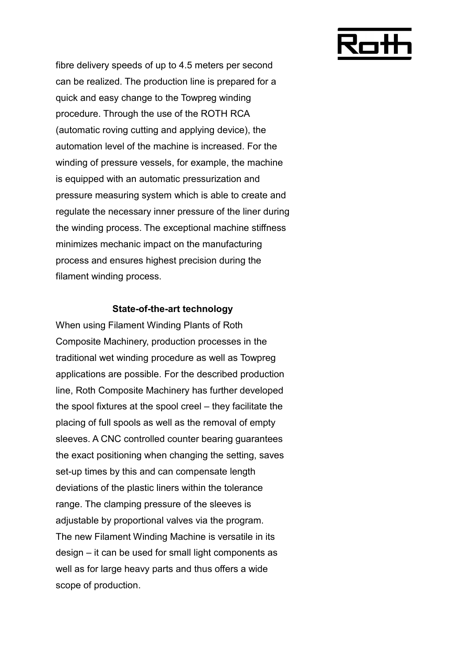

fibre delivery speeds of up to 4.5 meters per second can be realized. The production line is prepared for a quick and easy change to the Towpreg winding procedure. Through the use of the ROTH RCA (automatic roving cutting and applying device), the automation level of the machine is increased. For the winding of pressure vessels, for example, the machine is equipped with an automatic pressurization and pressure measuring system which is able to create and regulate the necessary inner pressure of the liner during the winding process. The exceptional machine stiffness minimizes mechanic impact on the manufacturing process and ensures highest precision during the filament winding process.

#### **State-of-the-art technology**

When using Filament Winding Plants of Roth Composite Machinery, production processes in the traditional wet winding procedure as well as Towpreg applications are possible. For the described production line, Roth Composite Machinery has further developed the spool fixtures at the spool creel – they facilitate the placing of full spools as well as the removal of empty sleeves. A CNC controlled counter bearing guarantees the exact positioning when changing the setting, saves set-up times by this and can compensate length deviations of the plastic liners within the tolerance range. The clamping pressure of the sleeves is adjustable by proportional valves via the program. The new Filament Winding Machine is versatile in its design – it can be used for small light components as well as for large heavy parts and thus offers a wide scope of production.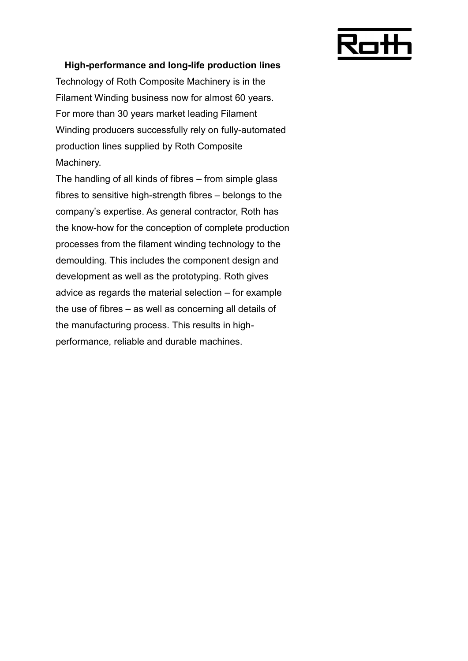

### **High-performance and long-life production lines**

Technology of Roth Composite Machinery is in the Filament Winding business now for almost 60 years. For more than 30 years market leading Filament Winding producers successfully rely on fully-automated production lines supplied by Roth Composite Machinery.

The handling of all kinds of fibres – from simple glass fibres to sensitive high-strength fibres – belongs to the company's expertise. As general contractor, Roth has the know-how for the conception of complete production processes from the filament winding technology to the demoulding. This includes the component design and development as well as the prototyping. Roth gives advice as regards the material selection – for example the use of fibres – as well as concerning all details of the manufacturing process. This results in highperformance, reliable and durable machines.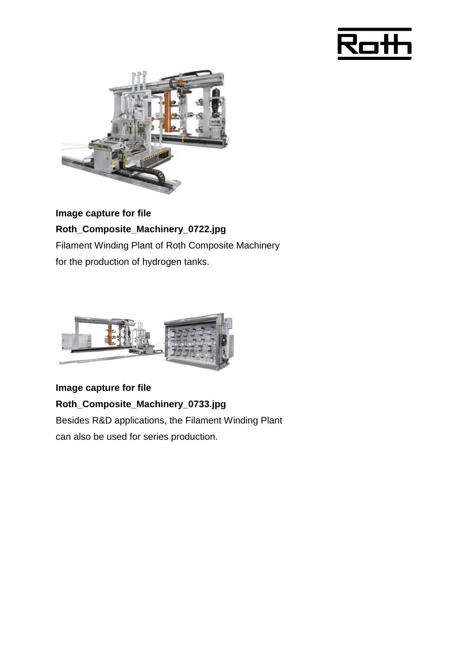



**Image capture for file Roth\_Composite\_Machinery\_0722.jpg** Filament Winding Plant of Roth Composite Machinery for the production of hydrogen tanks.



**Image capture for file Roth\_Composite\_Machinery\_0733.jpg** Besides R&D applications, the Filament Winding Plant can also be used for series production.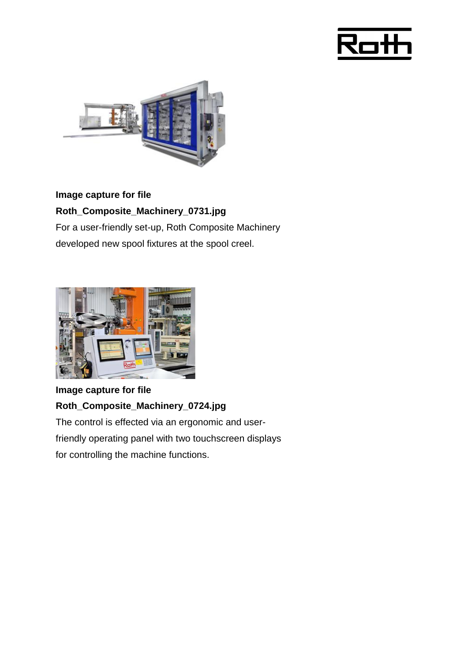



## **Image capture for file**

## **Roth\_Composite\_Machinery\_0731.jpg**

For a user-friendly set-up, Roth Composite Machinery developed new spool fixtures at the spool creel.



## **Image capture for file Roth\_Composite\_Machinery\_0724.jpg** The control is effected via an ergonomic and userfriendly operating panel with two touchscreen displays

for controlling the machine functions.